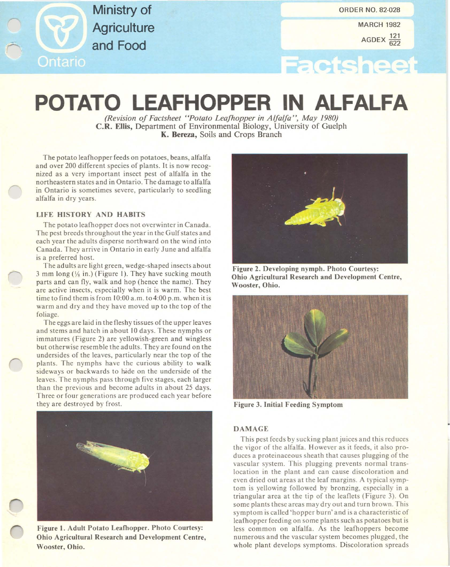Ministry of **Agriculture** and Food Ontario

**MARCH 1982** 

AGDEX 622

# **Factsheet**

# **POTATO LEAFHOPPER IN ALFALFA**

*(Revision of Faelsheel "Polalo Leafhopper in Alfalfa* ", *May 1980)* C.R. Ellis, Department of Environmental Biology, University of Guelph K. Bereza, Soils and Crops Branch

The potato leafhopper feeds on potatoes, beans, alfalfa and over 200 different species of plants. It is now recognized as a very important insect pest of alfalfa in the northeastern states and in Ontario. The damage to alfalfa in Ontario is sometimes severe, particularly to seedling alfalfa in dry years.

## LIFE HISTORY AND HABITS

The potato leafhopper does not overwinter in Canada. The pest breeds throughout the year in the Gulf states and each year the adults disperse northward on the wind into Canada. They arrive in Ontario in early June and alfalfa is a preferred host.

The adults are light green, wedge-shaped insects about 3 mm long  $(V_8$  in.) (Figure 1). They have sucking mouth parts and can fly, walk and hop (hence the name). They are active insects, especially when it is warm. The best time to find them is from 10:00 a.m. t04:00 p.m. when it is warm and dry and they have moved up to the top of the foliage.

The eggs are laid in the fleshy tissues of the upper leaves and stems and hatch in about 10 days. These nymphs or immatures (Figure 2) are yellowish-green and wingless but otherwise resemble the adults. They are found on the undersides of the leaves, particularly near the top of the plants. The nymphs have the curious ability to walk sideways or backwards to hide on the underside of the leaves. The nymphs pass through five stages, each larger than the previous and become adults in about 25 days. Three or four generations are produced each year before they are destroyed by frost.



Figure I. Adult Potato Leafhopper. Photo Courtesy: Ohio Agricultural Research and Development Centre, Wooster, Ohio.



Figure 2. Developing nymph. Photo Courtesy: Ohio Agricultural Research and Development Centre, Wooster, Ohio.



Figure 3. Initial Feeding Symptom

### DAMAGE

This pest feeds by sucking plant juices and this reduces the vigor of the alfalfa. However as it feeds, it also produces a proteinaceous sheath that causes plugging of the vascular system. This plugging prevents normal translocation in the plant and can cause discoloration and even dried out areas at the leaf margins. A typical symptom is yellowing followed by bronzing, especially in a triangular area at the tip of the leaflets (Figure 3). On some plants these areas may dry out and turn brown. This symptom is called 'hopper burn' and is a characteristic of leafhopper feeding on some plants such as potatoes but is less common on alfalfa. As the leafhoppers become numerous and the vascular system becomes plugged, the whole plant develops symptoms. Discoloration spreads